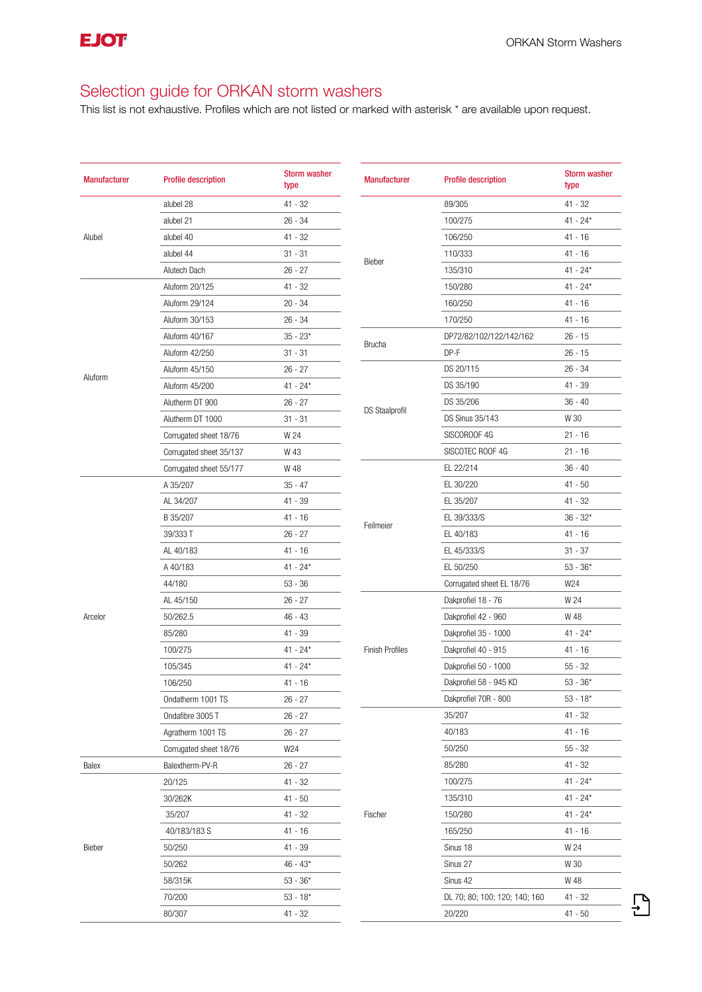$\bigoplus$ 

## Selection guide for ORKAN storm washers

| type<br>type<br>89/305<br>$41 - 32$<br>$41 - 32$<br>alubel 28<br>$26 - 34$<br>$41 - 24*$<br>alubel 21<br>100/275<br>106/250<br>Alubel<br>$41 - 32$<br>$41 - 16$<br>alubel 40<br>110/333<br>$41 - 16$<br>alubel 44<br>$31 - 31$<br>Bieber<br>$41 - 24*$<br>Alutech Dach<br>$26 - 27$<br>135/310<br>150/280<br>Aluform 20/125<br>$41 - 24*$<br>41 - 32<br>Aluform 29/124<br>$20 - 34$<br>160/250<br>$41 - 16$<br>170/250<br>41 - 16<br>Aluform 30/153<br>$26 - 34$<br>Aluform 40/167<br>$35 - 23*$<br>DP72/82/102/122/142/162<br>$26 - 15$<br><b>Brucha</b><br>$DP-F$<br>Aluform 42/250<br>$31 - 31$<br>$26 - 15$<br>DS 20/115<br>26 - 34<br>Aluform 45/150<br>$26 - 27$<br>Aluform<br>DS 35/190<br>41 - 39<br>Aluform 45/200<br>$41 - 24*$<br>Alutherm DT 900<br>$26 - 27$<br>DS 35/206<br>$36 - 40$<br><b>DS Staalprofil</b><br><b>DS Sinus 35/143</b><br>W 30<br>Alutherm DT 1000<br>$31 - 31$<br>SISCOROOF 4G<br>$21 - 16$<br>Corrugated sheet 18/76<br>W 24<br>Corrugated sheet 35/137<br>W 43<br>SISCOTEC ROOF 4G<br>$21 - 16$<br>EL 22/214<br>$36 - 40$<br>Corrugated sheet 55/177<br>W 48<br>EL 30/220<br>A 35/207<br>$35 - 47$<br>41 - 50 |
|--------------------------------------------------------------------------------------------------------------------------------------------------------------------------------------------------------------------------------------------------------------------------------------------------------------------------------------------------------------------------------------------------------------------------------------------------------------------------------------------------------------------------------------------------------------------------------------------------------------------------------------------------------------------------------------------------------------------------------------------------------------------------------------------------------------------------------------------------------------------------------------------------------------------------------------------------------------------------------------------------------------------------------------------------------------------------------------------------------------------------------------------------|
|                                                                                                                                                                                                                                                                                                                                                                                                                                                                                                                                                                                                                                                                                                                                                                                                                                                                                                                                                                                                                                                                                                                                                  |
|                                                                                                                                                                                                                                                                                                                                                                                                                                                                                                                                                                                                                                                                                                                                                                                                                                                                                                                                                                                                                                                                                                                                                  |
|                                                                                                                                                                                                                                                                                                                                                                                                                                                                                                                                                                                                                                                                                                                                                                                                                                                                                                                                                                                                                                                                                                                                                  |
|                                                                                                                                                                                                                                                                                                                                                                                                                                                                                                                                                                                                                                                                                                                                                                                                                                                                                                                                                                                                                                                                                                                                                  |
|                                                                                                                                                                                                                                                                                                                                                                                                                                                                                                                                                                                                                                                                                                                                                                                                                                                                                                                                                                                                                                                                                                                                                  |
|                                                                                                                                                                                                                                                                                                                                                                                                                                                                                                                                                                                                                                                                                                                                                                                                                                                                                                                                                                                                                                                                                                                                                  |
|                                                                                                                                                                                                                                                                                                                                                                                                                                                                                                                                                                                                                                                                                                                                                                                                                                                                                                                                                                                                                                                                                                                                                  |
|                                                                                                                                                                                                                                                                                                                                                                                                                                                                                                                                                                                                                                                                                                                                                                                                                                                                                                                                                                                                                                                                                                                                                  |
|                                                                                                                                                                                                                                                                                                                                                                                                                                                                                                                                                                                                                                                                                                                                                                                                                                                                                                                                                                                                                                                                                                                                                  |
|                                                                                                                                                                                                                                                                                                                                                                                                                                                                                                                                                                                                                                                                                                                                                                                                                                                                                                                                                                                                                                                                                                                                                  |
|                                                                                                                                                                                                                                                                                                                                                                                                                                                                                                                                                                                                                                                                                                                                                                                                                                                                                                                                                                                                                                                                                                                                                  |
|                                                                                                                                                                                                                                                                                                                                                                                                                                                                                                                                                                                                                                                                                                                                                                                                                                                                                                                                                                                                                                                                                                                                                  |
|                                                                                                                                                                                                                                                                                                                                                                                                                                                                                                                                                                                                                                                                                                                                                                                                                                                                                                                                                                                                                                                                                                                                                  |
|                                                                                                                                                                                                                                                                                                                                                                                                                                                                                                                                                                                                                                                                                                                                                                                                                                                                                                                                                                                                                                                                                                                                                  |
|                                                                                                                                                                                                                                                                                                                                                                                                                                                                                                                                                                                                                                                                                                                                                                                                                                                                                                                                                                                                                                                                                                                                                  |
|                                                                                                                                                                                                                                                                                                                                                                                                                                                                                                                                                                                                                                                                                                                                                                                                                                                                                                                                                                                                                                                                                                                                                  |
|                                                                                                                                                                                                                                                                                                                                                                                                                                                                                                                                                                                                                                                                                                                                                                                                                                                                                                                                                                                                                                                                                                                                                  |
|                                                                                                                                                                                                                                                                                                                                                                                                                                                                                                                                                                                                                                                                                                                                                                                                                                                                                                                                                                                                                                                                                                                                                  |
| AL 34/207<br>41 - 39<br>EL 35/207<br>41 - 32                                                                                                                                                                                                                                                                                                                                                                                                                                                                                                                                                                                                                                                                                                                                                                                                                                                                                                                                                                                                                                                                                                     |
| EL 39/333/S<br>$36 - 32*$<br>B 35/207<br>41 - 16                                                                                                                                                                                                                                                                                                                                                                                                                                                                                                                                                                                                                                                                                                                                                                                                                                                                                                                                                                                                                                                                                                 |
| Feilmeier<br>39/333 T<br>$26 - 27$<br>EL 40/183<br>$41 - 16$                                                                                                                                                                                                                                                                                                                                                                                                                                                                                                                                                                                                                                                                                                                                                                                                                                                                                                                                                                                                                                                                                     |
| EL 45/333/S<br>$31 - 37$<br>AL 40/183<br>41 - 16                                                                                                                                                                                                                                                                                                                                                                                                                                                                                                                                                                                                                                                                                                                                                                                                                                                                                                                                                                                                                                                                                                 |
| EL 50/250<br>$53 - 36*$<br>A 40/183<br>$41 - 24*$                                                                                                                                                                                                                                                                                                                                                                                                                                                                                                                                                                                                                                                                                                                                                                                                                                                                                                                                                                                                                                                                                                |
| 44/180<br>$53 - 36$<br>Corrugated sheet EL 18/76<br>W24                                                                                                                                                                                                                                                                                                                                                                                                                                                                                                                                                                                                                                                                                                                                                                                                                                                                                                                                                                                                                                                                                          |
| Dakprofiel 18 - 76<br>W 24<br>AL 45/150<br>$26 - 27$                                                                                                                                                                                                                                                                                                                                                                                                                                                                                                                                                                                                                                                                                                                                                                                                                                                                                                                                                                                                                                                                                             |
| Dakprofiel 42 - 960<br>W 48<br>50/262.5<br>46 - 43<br>Arcelor                                                                                                                                                                                                                                                                                                                                                                                                                                                                                                                                                                                                                                                                                                                                                                                                                                                                                                                                                                                                                                                                                    |
| 85/280<br>41 - 39<br>Dakprofiel 35 - 1000<br>$41 - 24*$                                                                                                                                                                                                                                                                                                                                                                                                                                                                                                                                                                                                                                                                                                                                                                                                                                                                                                                                                                                                                                                                                          |
| <b>Finish Profiles</b><br>Dakprofiel 40 - 915<br>$41 - 16$<br>100/275<br>$41 - 24*$                                                                                                                                                                                                                                                                                                                                                                                                                                                                                                                                                                                                                                                                                                                                                                                                                                                                                                                                                                                                                                                              |
| Dakprofiel 50 - 1000<br>$55 - 32$<br>105/345<br>$41 - 24*$                                                                                                                                                                                                                                                                                                                                                                                                                                                                                                                                                                                                                                                                                                                                                                                                                                                                                                                                                                                                                                                                                       |
| 106/250<br>Dakprofiel 58 - 945 KD<br>$53 - 36*$<br>41 - 16                                                                                                                                                                                                                                                                                                                                                                                                                                                                                                                                                                                                                                                                                                                                                                                                                                                                                                                                                                                                                                                                                       |
| $53 - 18*$<br>Ondatherm 1001 TS<br>$26 - 27$<br>Dakprofiel 70R - 800                                                                                                                                                                                                                                                                                                                                                                                                                                                                                                                                                                                                                                                                                                                                                                                                                                                                                                                                                                                                                                                                             |
| 35/207<br>41 - 32<br>Ondafibre 3005 T<br>$26 - 27$                                                                                                                                                                                                                                                                                                                                                                                                                                                                                                                                                                                                                                                                                                                                                                                                                                                                                                                                                                                                                                                                                               |
| 26 - 27<br>40/183<br>$41 - 16$<br>Agratherm 1001 TS                                                                                                                                                                                                                                                                                                                                                                                                                                                                                                                                                                                                                                                                                                                                                                                                                                                                                                                                                                                                                                                                                              |
| W24<br>50/250<br>$55 - 32$<br>Corrugated sheet 18/76                                                                                                                                                                                                                                                                                                                                                                                                                                                                                                                                                                                                                                                                                                                                                                                                                                                                                                                                                                                                                                                                                             |
| Balex<br>Balextherm-PV-R<br>$26 - 27$<br>85/280<br>41 - 32                                                                                                                                                                                                                                                                                                                                                                                                                                                                                                                                                                                                                                                                                                                                                                                                                                                                                                                                                                                                                                                                                       |
| 20/125<br>41 - 32<br>100/275<br>41 - 24*                                                                                                                                                                                                                                                                                                                                                                                                                                                                                                                                                                                                                                                                                                                                                                                                                                                                                                                                                                                                                                                                                                         |
| 135/310<br>$41 - 24*$<br>30/262K<br>41 - 50                                                                                                                                                                                                                                                                                                                                                                                                                                                                                                                                                                                                                                                                                                                                                                                                                                                                                                                                                                                                                                                                                                      |
| 35/207<br>41 - 32<br>Fischer<br>150/280<br>$41 - 24*$                                                                                                                                                                                                                                                                                                                                                                                                                                                                                                                                                                                                                                                                                                                                                                                                                                                                                                                                                                                                                                                                                            |
| 165/250<br>$41 - 16$<br>40/183/183 S<br>41 - 16                                                                                                                                                                                                                                                                                                                                                                                                                                                                                                                                                                                                                                                                                                                                                                                                                                                                                                                                                                                                                                                                                                  |
| Sinus 18<br>W 24<br>Bieber<br>50/250<br>41 - 39                                                                                                                                                                                                                                                                                                                                                                                                                                                                                                                                                                                                                                                                                                                                                                                                                                                                                                                                                                                                                                                                                                  |
| 50/262<br>$46 - 43*$<br>Sinus 27<br>W 30                                                                                                                                                                                                                                                                                                                                                                                                                                                                                                                                                                                                                                                                                                                                                                                                                                                                                                                                                                                                                                                                                                         |
| W 48<br>58/315K<br>$53 - 36*$<br>Sinus 42                                                                                                                                                                                                                                                                                                                                                                                                                                                                                                                                                                                                                                                                                                                                                                                                                                                                                                                                                                                                                                                                                                        |
| DL 70; 80; 100; 120; 140; 160<br>41 - 32<br>70/200<br>$53 - 18*$                                                                                                                                                                                                                                                                                                                                                                                                                                                                                                                                                                                                                                                                                                                                                                                                                                                                                                                                                                                                                                                                                 |
| 80/307<br>41 - 32<br>20/220<br>$41 - 50$                                                                                                                                                                                                                                                                                                                                                                                                                                                                                                                                                                                                                                                                                                                                                                                                                                                                                                                                                                                                                                                                                                         |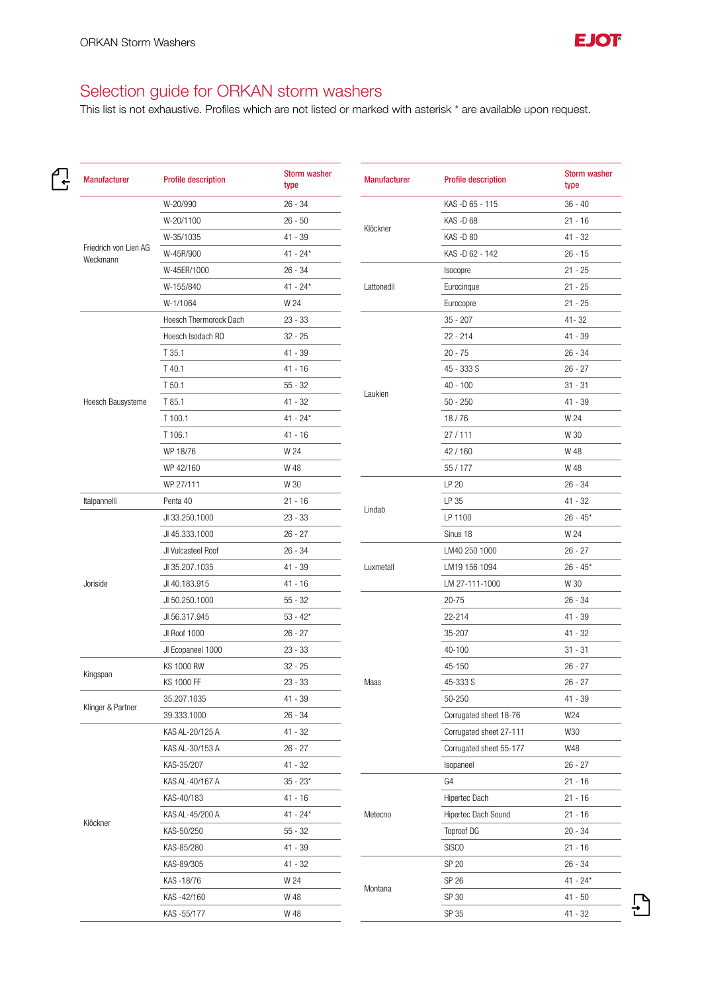

 $\bigoplus$ 

## Selection guide for ORKAN storm washers

| <b>Manufacturer</b>               | <b>Profile description</b> | <b>Storm washer</b><br>type | <b>Manufacturer</b> | <b>Profile description</b> | <b>Storm washer</b><br>type |
|-----------------------------------|----------------------------|-----------------------------|---------------------|----------------------------|-----------------------------|
|                                   | W-20/990                   | $26 - 34$                   |                     | KAS-D 65 - 115             | $36 - 40$                   |
|                                   | W-20/1100                  | $26 - 50$                   |                     | KAS-D68                    | $21 - 16$                   |
|                                   | W-35/1035                  | $41 - 39$                   | Klöckner            | KAS-D80                    | $41 - 32$                   |
| Friedrich von Lien AG<br>Weckmann | W-45R/900                  | $41 - 24*$                  |                     | KAS-D 62 - 142             | $26 - 15$                   |
|                                   | W-45ER/1000                | $26 - 34$                   | Lattonedil          | Isocopre                   | $21 - 25$                   |
|                                   | W-155/840                  | $41 - 24*$                  |                     | Eurocinque                 | $21 - 25$                   |
|                                   | W-1/1064                   | W 24                        |                     | Eurocopre                  | $21 - 25$                   |
|                                   | Hoesch Thermorock Dach     | $23 - 33$                   |                     | $35 - 207$                 | $41 - 32$                   |
|                                   | Hoesch Isodach RD          | $32 - 25$                   |                     | $22 - 214$                 | $41 - 39$                   |
|                                   | T 35.1                     | 41 - 39                     |                     | $20 - 75$                  | $26 - 34$                   |
|                                   | T 40.1                     | $41 - 16$                   |                     | 45 - 333 S                 | $26 - 27$                   |
|                                   | T 50.1                     | $55 - 32$                   |                     | $40 - 100$                 | $31 - 31$                   |
| Hoesch Bausysteme                 | T 85.1                     | $41 - 32$                   | Laukien             | $50 - 250$                 | $41 - 39$                   |
|                                   | T 100.1                    | $41 - 24*$                  |                     | 18/76                      | W 24                        |
|                                   | T 106.1                    | $41 - 16$                   |                     | 27/111                     | W 30                        |
|                                   | WP 18/76                   | W 24                        |                     | 42/160                     | W 48                        |
|                                   | WP 42/160                  | W 48                        |                     | 55/177                     | W 48                        |
|                                   | WP 27/111                  | W 30                        |                     | LP 20                      | $26 - 34$                   |
| Italpannelli                      | Penta 40                   | $21 - 16$                   |                     | LP 35                      | $41 - 32$                   |
|                                   | JI 33.250.1000             | $23 - 33$                   | Lindab              | LP 1100                    | $26 - 45*$                  |
|                                   | JI 45.333.1000             | $26 - 27$                   |                     | Sinus 18                   | W 24                        |
|                                   | JI Vulcasteel Roof         | $26 - 34$                   |                     | LM40 250 1000              | $26 - 27$                   |
| Joriside                          | JI 35.207.1035             | 41 - 39                     | Luxmetall           | LM19 156 1094              | $26 - 45*$                  |
|                                   | JI 40.183.915              | $41 - 16$                   |                     | LM 27-111-1000             | W 30                        |
|                                   | JI 50.250.1000             | $55 - 32$                   |                     | $20 - 75$                  | $26 - 34$                   |
|                                   | JI 56.317.945              | $53 - 42*$                  |                     | 22-214                     | 41 - 39                     |
|                                   | JI Roof 1000               | $26 - 27$                   |                     | 35-207                     | $41 - 32$                   |
|                                   | JI Ecopaneel 1000          | $23 - 33$                   |                     | 40-100                     | $31 - 31$                   |
|                                   | <b>KS 1000 RW</b>          | $32 - 25$                   |                     | 45-150                     | $26 - 27$                   |
| Kingspan                          | KS 1000 FF                 | $23 - 33$                   | Maas                | 45-333 S                   | $26 - 27$                   |
|                                   | 35.207.1035                | $41 - 39$                   |                     | 50-250                     | 41 - 39                     |
| Klinger & Partner                 | 39.333.1000                | $26 - 34$                   |                     | Corrugated sheet 18-76     | W24                         |
| Klöckner                          | KAS AL-20/125 A            | $41 - 32$                   |                     | Corrugated sheet 27-111    | W30                         |
|                                   | KAS AL-30/153 A            | $26 - 27$                   |                     | Corrugated sheet 55-177    | W48                         |
|                                   | KAS-35/207                 | $41 - 32$                   |                     | Isopaneel                  | $26 - 27$                   |
|                                   | KAS AL-40/167 A            | $35 - 23*$                  |                     | G4                         | $21 - 16$                   |
|                                   | KAS-40/183                 | 41 - 16                     |                     | Hipertec Dach              | $21 - 16$                   |
|                                   | KAS AL-45/200 A            | $41 - 24*$                  | Metecno             | Hipertec Dach Sound        | $21 - 16$                   |
|                                   | KAS-50/250                 | $55 - 32$                   |                     | <b>Toproof DG</b>          | $20 - 34$                   |
|                                   | KAS-85/280                 | 41 - 39                     |                     | <b>SISCO</b>               | $21 - 16$                   |
|                                   | KAS-89/305                 | 41 - 32                     |                     | SP 20                      | $26 - 34$                   |
|                                   | KAS-18/76                  | W 24                        |                     | SP 26                      | $41 - 24*$                  |
|                                   | KAS-42/160                 | W 48                        | Montana             | SP 30                      | $41 - 50$                   |
|                                   | KAS-55/177                 | W 48                        |                     | SP 35                      | $41 - 32$                   |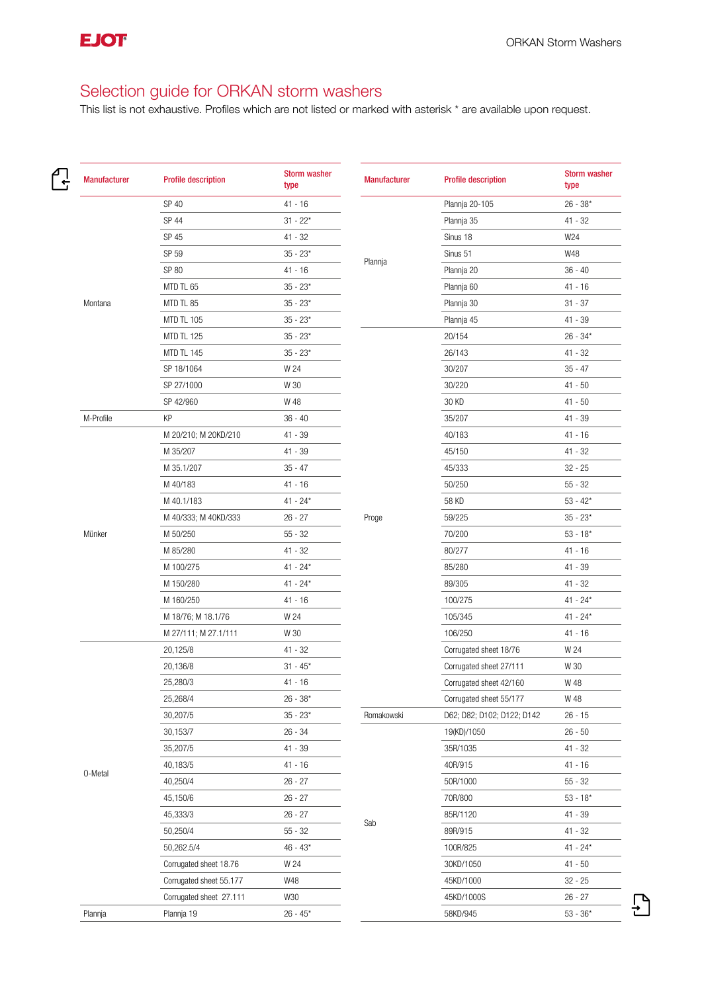$\bigoplus$ 

## Selection guide for ORKAN storm washers

| <b>Manufacturer</b> | <b>Profile description</b> | <b>Storm washer</b><br>type | <b>Manufacturer</b> | <b>Profile description</b> | <b>Storm washer</b><br>type |
|---------------------|----------------------------|-----------------------------|---------------------|----------------------------|-----------------------------|
| Montana             | SP 40                      | 41 - 16                     | Plannja             | Plannja 20-105             | $26 - 38*$                  |
|                     | SP 44                      | $31 - 22*$                  |                     | Plannja 35                 | 41 - 32                     |
|                     | SP 45                      | $41 - 32$                   |                     | Sinus 18                   | W24                         |
|                     | SP 59                      | $35 - 23*$                  |                     | Sinus 51                   | W48                         |
|                     | SP 80                      | 41 - 16                     |                     | Plannja 20                 | $36 - 40$                   |
|                     | MTD TL 65                  | $35 - 23*$                  |                     | Plannja 60                 | $41 - 16$                   |
|                     | MTD TL 85                  | $35 - 23*$                  |                     | Plannja 30                 | $31 - 37$                   |
|                     | <b>MTD TL 105</b>          | $35 - 23*$                  |                     | Plannja 45                 | 41 - 39                     |
|                     | MTD TL 125                 | $35 - 23*$                  |                     | 20/154                     | $26 - 34*$                  |
|                     | <b>MTD TL 145</b>          | $35 - 23*$                  |                     | 26/143                     | $41 - 32$                   |
|                     | SP 18/1064                 | W 24                        |                     | 30/207                     | $35 - 47$                   |
| M-Profile<br>Münker | SP 27/1000                 | W 30                        |                     | 30/220                     | $41 - 50$                   |
|                     | SP 42/960                  | W 48                        |                     | 30 KD                      | $41 - 50$                   |
|                     | KP                         | $36 - 40$                   |                     | 35/207                     | 41 - 39                     |
|                     | M 20/210; M 20KD/210       | 41 - 39                     |                     | 40/183                     | $41 - 16$                   |
|                     | M 35/207                   | 41 - 39                     |                     | 45/150                     | 41 - 32                     |
|                     | M 35.1/207                 | $35 - 47$                   |                     | 45/333                     | $32 - 25$                   |
|                     | M 40/183                   | 41 - 16                     |                     | 50/250                     | $55 - 32$                   |
|                     | M 40.1/183                 | $41 - 24*$                  |                     | 58 KD                      | $53 - 42*$                  |
|                     | M 40/333; M 40KD/333       | $26 - 27$                   | Proge               | 59/225                     | $35 - 23*$                  |
|                     | M 50/250                   | $55 - 32$                   |                     | 70/200                     | $53 - 18*$                  |
|                     | M 85/280                   | 41 - 32                     |                     | 80/277                     | $41 - 16$                   |
|                     | M 100/275                  | $41 - 24*$                  |                     | 85/280                     | 41 - 39                     |
|                     | M 150/280                  | $41 - 24*$                  |                     | 89/305                     | 41 - 32                     |
|                     | M 160/250                  | 41 - 16                     |                     | 100/275                    | $41 - 24*$                  |
|                     | M 18/76; M 18.1/76         | W 24                        |                     | 105/345                    | $41 - 24*$                  |
|                     | M 27/111; M 27.1/111       | W 30                        |                     | 106/250                    | $41 - 16$                   |
| 0-Metal             | 20,125/8                   | 41 - 32                     |                     | Corrugated sheet 18/76     | W 24                        |
|                     | 20,136/8                   | $31 - 45*$                  |                     | Corrugated sheet 27/111    | W 30                        |
|                     | 25,280/3                   | 41 - 16                     |                     | Corrugated sheet 42/160    | W 48                        |
|                     | 25,268/4                   | $26 - 38*$                  |                     | Corrugated sheet 55/177    | W 48                        |
|                     | 30,207/5                   | $35 - 23*$                  | Romakowski          | D62; D82; D102; D122; D142 | $26 - 15$                   |
|                     | 30,153/7                   | $26 - 34$                   |                     | 19(KD)/1050                | $26 - 50$                   |
|                     | 35,207/5                   | $41 - 39$                   |                     | 35R/1035                   | 41 - 32                     |
|                     | 40,183/5                   | 41 - 16                     | Sab                 | 40R/915                    | $41 - 16$                   |
|                     | 40,250/4                   | $26 - 27$                   |                     | 50R/1000                   | $55 - 32$                   |
|                     | 45,150/6                   | $26 - 27$                   |                     | 70R/800                    | $53 - 18*$                  |
|                     | 45,333/3                   | $26 - 27$                   |                     | 85R/1120                   | 41 - 39                     |
|                     | 50,250/4                   | $55 - 32$                   |                     | 89R/915                    | $41 - 32$                   |
|                     | 50,262.5/4                 | $46 - 43*$                  |                     | 100R/825                   | $41 - 24*$                  |
|                     | Corrugated sheet 18.76     | W 24                        |                     | 30KD/1050                  | $41 - 50$                   |
|                     | Corrugated sheet 55.177    | W48                         |                     | 45KD/1000                  | $32 - 25$                   |
|                     | Corrugated sheet 27.111    | W30                         |                     | 45KD/1000S                 | $26 - 27$                   |
| Plannja             | Plannja 19                 | $26 - 45*$                  |                     | 58KD/945                   | $53 - 36*$                  |